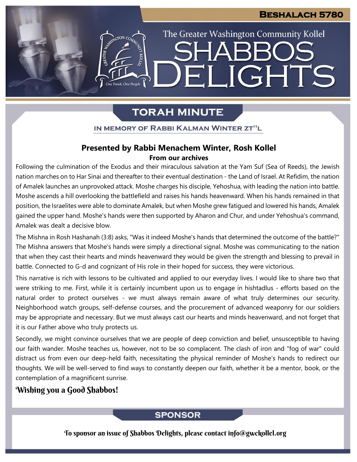The Greater Washington Community Kollel

ELIGHTS

# **TORAH MINUTE**

ASSIMIGTON CO

One Torah, One People

IN MEMORY OF RABBI KALMAN WINTER ZT"L

## **Presented by Rabbi Menachem Winter, Rosh Kollel From our archives**

Following the culmination of the Exodus and their miraculous salvation at the Yam Suf (Sea of Reeds), the Jewish nation marches on to Har Sinai and thereafter to their eventual destination - the Land of Israel. At Refidim, the nation of Amalek launches an unprovoked attack. Moshe charges his disciple, Yehoshua, with leading the nation into battle. Moshe ascends a hill overlooking the battlefield and raises his hands heavenward. When his hands remained in that position, the Israelites were able to dominate Amalek, but when Moshe grew fatigued and lowered his hands, Amalek gained the upper hand. Moshe's hands were then supported by Aharon and Chur, and under Yehoshua's command, Amalek was dealt a decisive blow.

The Mishna in Rosh Hashanah (3:8) asks, "Was it indeed Moshe's hands that determined the outcome of the battle?" The Mishna answers that Moshe's hands were simply a directional signal. Moshe was communicating to the nation that when they cast their hearts and minds heavenward they would be given the strength and blessing to prevail in battle. Connected to G-d and cognizant of His role in their hoped for success, they were victorious.

This narrative is rich with lessons to be cultivated and applied to our everyday lives. I would like to share two that were striking to me. First, while it is certainly incumbent upon us to engage in hishtadlus - efforts based on the natural order to protect ourselves - we must always remain aware of what truly determines our security. Neighborhood watch groups, self-defense courses, and the procurement of advanced weaponry for our soldiers may be appropriate and necessary. But we must always cast our hearts and minds heavenward, and not forget that it is our Father above who truly protects us.

Secondly, we might convince ourselves that we are people of deep conviction and belief, unsusceptible to having our faith wander. Moshe teaches us, however, not to be so complacent. The clash of iron and "fog of war" could distract us from even our deep-held faith, necessitating the physical reminder of Moshe's hands to redirect our thoughts. We will be well-served to find ways to constantly deepen our faith, whether it be a mentor, book, or the contemplation of a magnificent sunrise.

## Wishing you a Good Shabbos!

## **SPONSOR**

To sponsor an issue of Shabbos Delights, please contact info@gwckollel.org